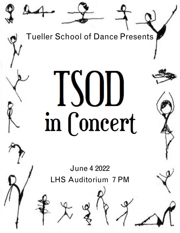

# in Concert

June 4 2022 LHS Auditorium 7 PM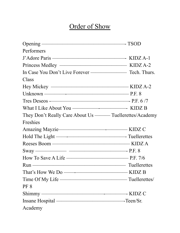## Order of Show

| Performers                                                |  |
|-----------------------------------------------------------|--|
|                                                           |  |
|                                                           |  |
|                                                           |  |
| Class                                                     |  |
| Hey Mickey ———————————————————— KIDZ A-2                  |  |
|                                                           |  |
|                                                           |  |
|                                                           |  |
| They Don't Really Care About Us ———— Tuellerettes/Academy |  |
| Freshies                                                  |  |
| Amazing Mayzie KIDZ C                                     |  |
|                                                           |  |
| Reeses Boom ———————————————————— KIDZ A                   |  |
| Sway $\longrightarrow$ P.F. 8                             |  |
|                                                           |  |
|                                                           |  |
|                                                           |  |
|                                                           |  |
| <b>PF 8</b>                                               |  |
|                                                           |  |
|                                                           |  |
| Academy                                                   |  |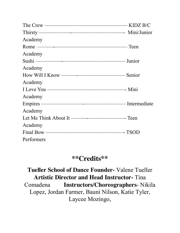| The Crew $\longrightarrow$ KIDZ B/C |  |
|-------------------------------------|--|
|                                     |  |
| Academy                             |  |
|                                     |  |
| Academy                             |  |
|                                     |  |
| Academy                             |  |
|                                     |  |
| Academy                             |  |
|                                     |  |
| Academy                             |  |
|                                     |  |
| Academy                             |  |
|                                     |  |
| Academy                             |  |
|                                     |  |
| Performers                          |  |

### **\*\*Credits\*\***

**Tueller School of Dance Founder-** Valene Tueller **Artistic Director and Head Instructor-** Tina Comadena **Instructors/Choreographers**- Nikila Lopez, Jordan Farmer, Bauni Nilson, Katie Tyler, Laycee Mozingo,